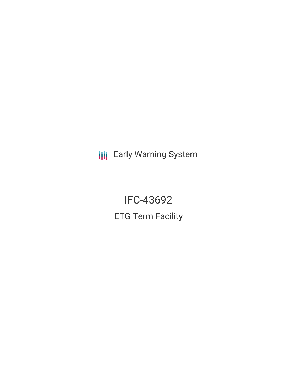**III** Early Warning System

IFC-43692 ETG Term Facility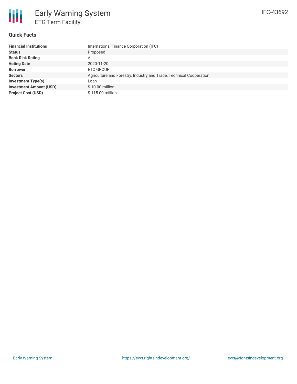### **Quick Facts**

| <b>Financial Institutions</b>  | International Finance Corporation (IFC)                             |
|--------------------------------|---------------------------------------------------------------------|
| <b>Status</b>                  | Proposed                                                            |
| <b>Bank Risk Rating</b>        | А                                                                   |
| <b>Voting Date</b>             | 2020-11-20                                                          |
| <b>Borrower</b>                | ETC GROUP                                                           |
| <b>Sectors</b>                 | Agriculture and Forestry, Industry and Trade, Technical Cooperation |
| <b>Investment Type(s)</b>      | Loan                                                                |
| <b>Investment Amount (USD)</b> | $$10.00$ million                                                    |
| <b>Project Cost (USD)</b>      | \$115.00 million                                                    |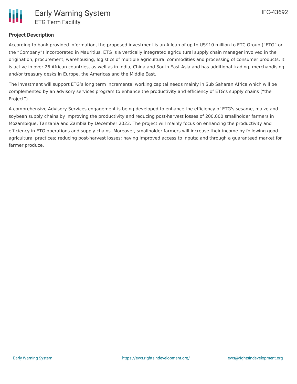

### **Project Description**

According to bank provided information, the proposed investment is an A loan of up to US\$10 million to ETC Group ("ETG" or the "Company") incorporated in Mauritius. ETG is a vertically integrated agricultural supply chain manager involved in the origination, procurement, warehousing, logistics of multiple agricultural commodities and processing of consumer products. It is active in over 26 African countries, as well as in India, China and South East Asia and has additional trading, merchandising and/or treasury desks in Europe, the Americas and the Middle East.

The investment will support ETG's long term incremental working capital needs mainly in Sub Saharan Africa which will be complemented by an advisory services program to enhance the productivity and efficiency of ETG's supply chains ("the Project").

A comprehensive Advisory Services engagement is being developed to enhance the efficiency of ETG's sesame, maize and soybean supply chains by improving the productivity and reducing post-harvest losses of 200,000 smallholder farmers in Mozambique, Tanzania and Zambia by December 2023. The project will mainly focus on enhancing the productivity and efficiency in ETG operations and supply chains. Moreover, smallholder farmers will increase their income by following good agricultural practices; reducing post-harvest losses; having improved access to inputs; and through a guaranteed market for farmer produce.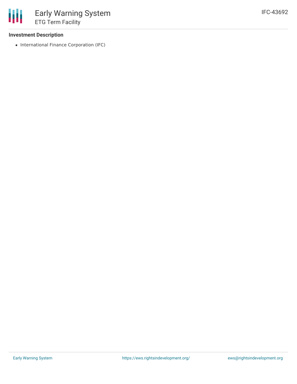### **Investment Description**

• International Finance Corporation (IFC)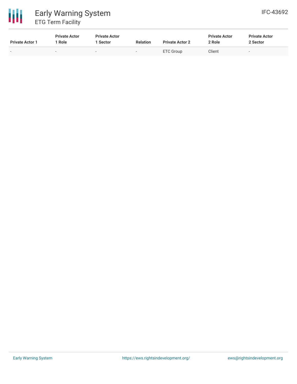# 冊 Early Warning System ETG Term Facility

| <b>Private Actor 1</b> | <b>Private Actor</b><br>Role | <b>Private Actor</b><br><b>Sector</b> | <b>Relation</b> | <b>Private Actor 2</b> | <b>Private Actor</b><br>2 Role | <b>Private Actor</b><br>2 Sector |
|------------------------|------------------------------|---------------------------------------|-----------------|------------------------|--------------------------------|----------------------------------|
|                        | -                            |                                       | $\,$            | <b>ETC Group</b>       | Client                         | $\overline{\phantom{0}}$         |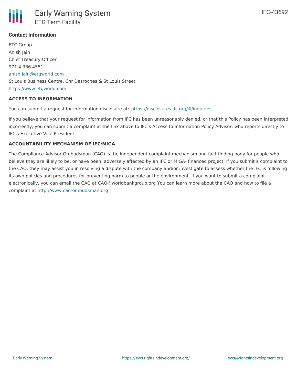## **Contact Information**

ETC Group Anish Jain Chief Treasury Officer 971 4 386 4551 [anish.jain@etgworld.com](mailto:anish.jain@etgworld.com) St Louis Business Centre, Cnr Desroches & St Louis Street <https://www.etgworld.com>

### **ACCESS TO INFORMATION**

You can submit a request for information disclosure at: <https://disclosures.ifc.org/#/inquiries>

If you believe that your request for information from IFC has been unreasonably denied, or that this Policy has been interpreted incorrectly, you can submit a complaint at the link above to IFC's Access to Information Policy Advisor, who reports directly to IFC's Executive Vice President.

### **ACCOUNTABILITY MECHANISM OF IFC/MIGA**

The Compliance Advisor Ombudsman (CAO) is the independent complaint mechanism and fact-finding body for people who believe they are likely to be, or have been, adversely affected by an IFC or MIGA- financed project. If you submit a complaint to the CAO, they may assist you in resolving a dispute with the company and/or investigate to assess whether the IFC is following its own policies and procedures for preventing harm to people or the environment. If you want to submit a complaint electronically, you can email the CAO at CAO@worldbankgroup.org You can learn more about the CAO and how to file a complaint at <http://www.cao-ombudsman.org>